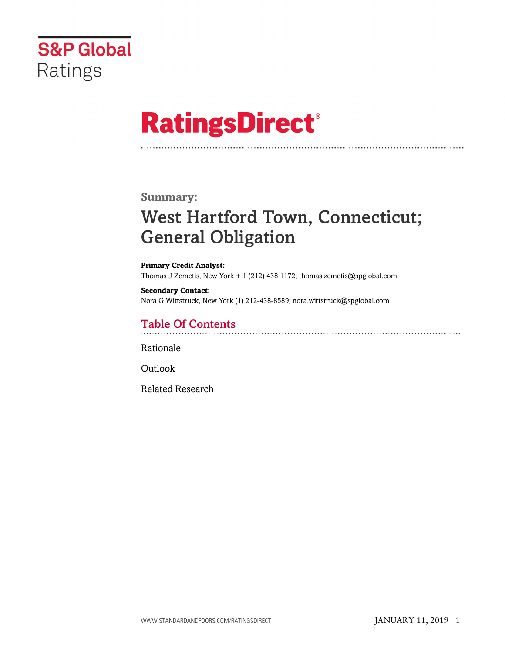

# **RatingsDirect®**

### **Summary:**

# West Hartford Town, Connecticut; General Obligation

**Primary Credit Analyst:** Thomas J Zemetis, New York + 1 (212) 438 1172; thomas.zemetis@spglobal.com

**Secondary Contact:** Nora G Wittstruck, New York (1) 212-438-8589; nora.wittstruck@spglobal.com

# Table Of Contents

[Rationale](#page-1-0)

[Outlook](#page-7-0)

[Related Research](#page-7-1)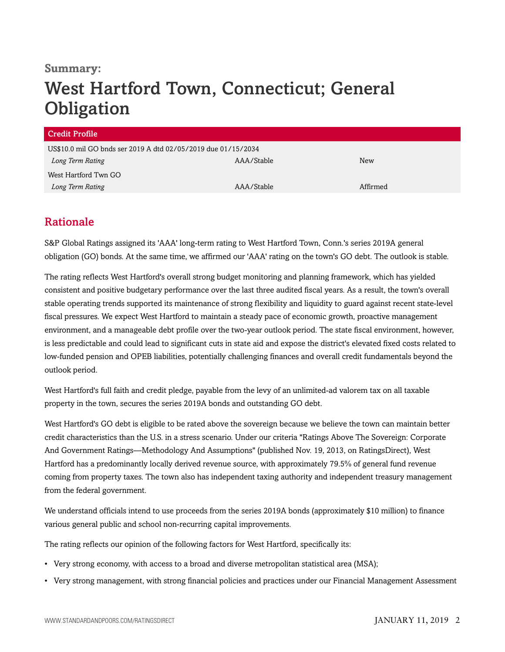### **Summary:**

# West Hartford Town, Connecticut; General **Obligation**

| US\$10.0 mil GO bnds ser 2019 A dtd 02/05/2019 due 01/15/2034 |          |  |  |
|---------------------------------------------------------------|----------|--|--|
| AAA/Stable                                                    | New      |  |  |
|                                                               |          |  |  |
| AAA/Stable                                                    | Affirmed |  |  |
|                                                               |          |  |  |

# <span id="page-1-0"></span>Rationale

S&P Global Ratings assigned its 'AAA' long-term rating to West Hartford Town, Conn.'s series 2019A general obligation (GO) bonds. At the same time, we affirmed our 'AAA' rating on the town's GO debt. The outlook is stable.

The rating reflects West Hartford's overall strong budget monitoring and planning framework, which has yielded consistent and positive budgetary performance over the last three audited fiscal years. As a result, the town's overall stable operating trends supported its maintenance of strong flexibility and liquidity to guard against recent state-level fiscal pressures. We expect West Hartford to maintain a steady pace of economic growth, proactive management environment, and a manageable debt profile over the two-year outlook period. The state fiscal environment, however, is less predictable and could lead to significant cuts in state aid and expose the district's elevated fixed costs related to low-funded pension and OPEB liabilities, potentially challenging finances and overall credit fundamentals beyond the outlook period.

West Hartford's full faith and credit pledge, payable from the levy of an unlimited-ad valorem tax on all taxable property in the town, secures the series 2019A bonds and outstanding GO debt.

West Hartford's GO debt is eligible to be rated above the sovereign because we believe the town can maintain better credit characteristics than the U.S. in a stress scenario. Under our criteria "Ratings Above The Sovereign: Corporate And Government Ratings—Methodology And Assumptions" (published Nov. 19, 2013, on RatingsDirect), West Hartford has a predominantly locally derived revenue source, with approximately 79.5% of general fund revenue coming from property taxes. The town also has independent taxing authority and independent treasury management from the federal government.

We understand officials intend to use proceeds from the series 2019A bonds (approximately \$10 million) to finance various general public and school non-recurring capital improvements.

The rating reflects our opinion of the following factors for West Hartford, specifically its:

- Very strong economy, with access to a broad and diverse metropolitan statistical area (MSA);
- Very strong management, with strong financial policies and practices under our Financial Management Assessment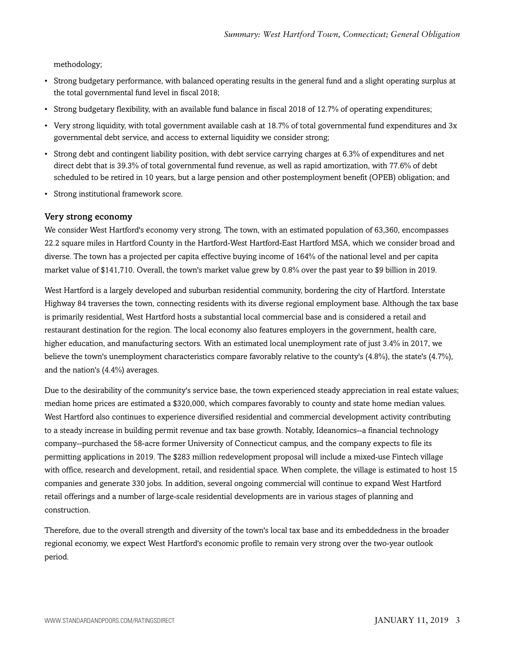methodology;

- Strong budgetary performance, with balanced operating results in the general fund and a slight operating surplus at the total governmental fund level in fiscal 2018;
- Strong budgetary flexibility, with an available fund balance in fiscal 2018 of 12.7% of operating expenditures;
- Very strong liquidity, with total government available cash at 18.7% of total governmental fund expenditures and 3x governmental debt service, and access to external liquidity we consider strong;
- Strong debt and contingent liability position, with debt service carrying charges at 6.3% of expenditures and net direct debt that is 39.3% of total governmental fund revenue, as well as rapid amortization, with 77.6% of debt scheduled to be retired in 10 years, but a large pension and other postemployment benefit (OPEB) obligation; and
- Strong institutional framework score.

#### Very strong economy

We consider West Hartford's economy very strong. The town, with an estimated population of 63,360, encompasses 22.2 square miles in Hartford County in the Hartford-West Hartford-East Hartford MSA, which we consider broad and diverse. The town has a projected per capita effective buying income of 164% of the national level and per capita market value of \$141,710. Overall, the town's market value grew by 0.8% over the past year to \$9 billion in 2019.

West Hartford is a largely developed and suburban residential community, bordering the city of Hartford. Interstate Highway 84 traverses the town, connecting residents with its diverse regional employment base. Although the tax base is primarily residential, West Hartford hosts a substantial local commercial base and is considered a retail and restaurant destination for the region. The local economy also features employers in the government, health care, higher education, and manufacturing sectors. With an estimated local unemployment rate of just 3.4% in 2017, we believe the town's unemployment characteristics compare favorably relative to the county's (4.8%), the state's (4.7%), and the nation's (4.4%) averages.

Due to the desirability of the community's service base, the town experienced steady appreciation in real estate values; median home prices are estimated a \$320,000, which compares favorably to county and state home median values. West Hartford also continues to experience diversified residential and commercial development activity contributing to a steady increase in building permit revenue and tax base growth. Notably, Ideanomics--a financial technology company--purchased the 58-acre former University of Connecticut campus, and the company expects to file its permitting applications in 2019. The \$283 million redevelopment proposal will include a mixed-use Fintech village with office, research and development, retail, and residential space. When complete, the village is estimated to host 15 companies and generate 330 jobs. In addition, several ongoing commercial will continue to expand West Hartford retail offerings and a number of large-scale residential developments are in various stages of planning and construction.

Therefore, due to the overall strength and diversity of the town's local tax base and its embeddedness in the broader regional economy, we expect West Hartford's economic profile to remain very strong over the two-year outlook period.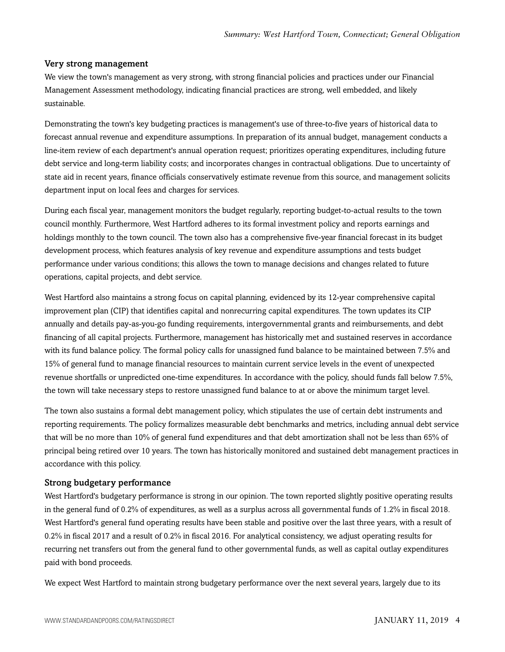#### Very strong management

We view the town's management as very strong, with strong financial policies and practices under our Financial Management Assessment methodology, indicating financial practices are strong, well embedded, and likely sustainable.

Demonstrating the town's key budgeting practices is management's use of three-to-five years of historical data to forecast annual revenue and expenditure assumptions. In preparation of its annual budget, management conducts a line-item review of each department's annual operation request; prioritizes operating expenditures, including future debt service and long-term liability costs; and incorporates changes in contractual obligations. Due to uncertainty of state aid in recent years, finance officials conservatively estimate revenue from this source, and management solicits department input on local fees and charges for services.

During each fiscal year, management monitors the budget regularly, reporting budget-to-actual results to the town council monthly. Furthermore, West Hartford adheres to its formal investment policy and reports earnings and holdings monthly to the town council. The town also has a comprehensive five-year financial forecast in its budget development process, which features analysis of key revenue and expenditure assumptions and tests budget performance under various conditions; this allows the town to manage decisions and changes related to future operations, capital projects, and debt service.

West Hartford also maintains a strong focus on capital planning, evidenced by its 12-year comprehensive capital improvement plan (CIP) that identifies capital and nonrecurring capital expenditures. The town updates its CIP annually and details pay-as-you-go funding requirements, intergovernmental grants and reimbursements, and debt financing of all capital projects. Furthermore, management has historically met and sustained reserves in accordance with its fund balance policy. The formal policy calls for unassigned fund balance to be maintained between 7.5% and 15% of general fund to manage financial resources to maintain current service levels in the event of unexpected revenue shortfalls or unpredicted one-time expenditures. In accordance with the policy, should funds fall below 7.5%, the town will take necessary steps to restore unassigned fund balance to at or above the minimum target level.

The town also sustains a formal debt management policy, which stipulates the use of certain debt instruments and reporting requirements. The policy formalizes measurable debt benchmarks and metrics, including annual debt service that will be no more than 10% of general fund expenditures and that debt amortization shall not be less than 65% of principal being retired over 10 years. The town has historically monitored and sustained debt management practices in accordance with this policy.

#### Strong budgetary performance

West Hartford's budgetary performance is strong in our opinion. The town reported slightly positive operating results in the general fund of 0.2% of expenditures, as well as a surplus across all governmental funds of 1.2% in fiscal 2018. West Hartford's general fund operating results have been stable and positive over the last three years, with a result of 0.2% in fiscal 2017 and a result of 0.2% in fiscal 2016. For analytical consistency, we adjust operating results for recurring net transfers out from the general fund to other governmental funds, as well as capital outlay expenditures paid with bond proceeds.

We expect West Hartford to maintain strong budgetary performance over the next several years, largely due to its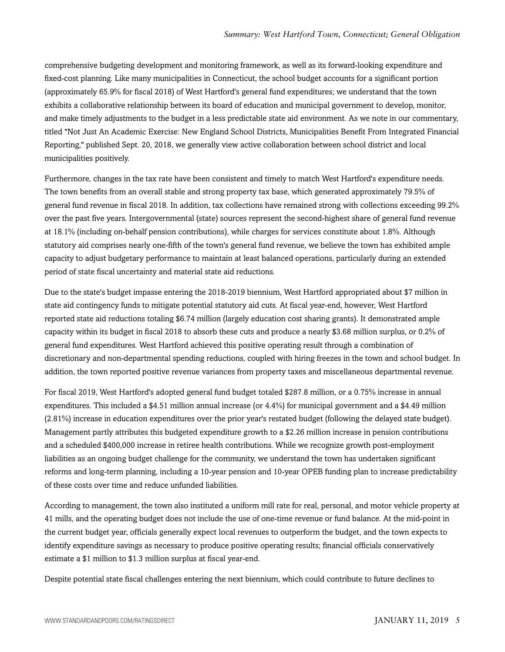comprehensive budgeting development and monitoring framework, as well as its forward-looking expenditure and fixed-cost planning. Like many municipalities in Connecticut, the school budget accounts for a significant portion (approximately 65.9% for fiscal 2018) of West Hartford's general fund expenditures; we understand that the town exhibits a collaborative relationship between its board of education and municipal government to develop, monitor, and make timely adjustments to the budget in a less predictable state aid environment. As we note in our commentary, titled "Not Just An Academic Exercise: New England School Districts, Municipalities Benefit From Integrated Financial Reporting," published Sept. 20, 2018, we generally view active collaboration between school district and local municipalities positively.

Furthermore, changes in the tax rate have been consistent and timely to match West Hartford's expenditure needs. The town benefits from an overall stable and strong property tax base, which generated approximately 79.5% of general fund revenue in fiscal 2018. In addition, tax collections have remained strong with collections exceeding 99.2% over the past five years. Intergovernmental (state) sources represent the second-highest share of general fund revenue at 18.1% (including on-behalf pension contributions), while charges for services constitute about 1.8%. Although statutory aid comprises nearly one-fifth of the town's general fund revenue, we believe the town has exhibited ample capacity to adjust budgetary performance to maintain at least balanced operations, particularly during an extended period of state fiscal uncertainty and material state aid reductions.

Due to the state's budget impasse entering the 2018-2019 biennium, West Hartford appropriated about \$7 million in state aid contingency funds to mitigate potential statutory aid cuts. At fiscal year-end, however, West Hartford reported state aid reductions totaling \$6.74 million (largely education cost sharing grants). It demonstrated ample capacity within its budget in fiscal 2018 to absorb these cuts and produce a nearly \$3.68 million surplus, or 0.2% of general fund expenditures. West Hartford achieved this positive operating result through a combination of discretionary and non-departmental spending reductions, coupled with hiring freezes in the town and school budget. In addition, the town reported positive revenue variances from property taxes and miscellaneous departmental revenue.

For fiscal 2019, West Hartford's adopted general fund budget totaled \$287.8 million, or a 0.75% increase in annual expenditures. This included a \$4.51 million annual increase (or 4.4%) for municipal government and a \$4.49 million (2.81%) increase in education expenditures over the prior year's restated budget (following the delayed state budget). Management partly attributes this budgeted expenditure growth to a \$2.26 million increase in pension contributions and a scheduled \$400,000 increase in retiree health contributions. While we recognize growth post-employment liabilities as an ongoing budget challenge for the community, we understand the town has undertaken significant reforms and long-term planning, including a 10-year pension and 10-year OPEB funding plan to increase predictability of these costs over time and reduce unfunded liabilities.

According to management, the town also instituted a uniform mill rate for real, personal, and motor vehicle property at 41 mills, and the operating budget does not include the use of one-time revenue or fund balance. At the mid-point in the current budget year, officials generally expect local revenues to outperform the budget, and the town expects to identify expenditure savings as necessary to produce positive operating results; financial officials conservatively estimate a \$1 million to \$1.3 million surplus at fiscal year-end.

Despite potential state fiscal challenges entering the next biennium, which could contribute to future declines to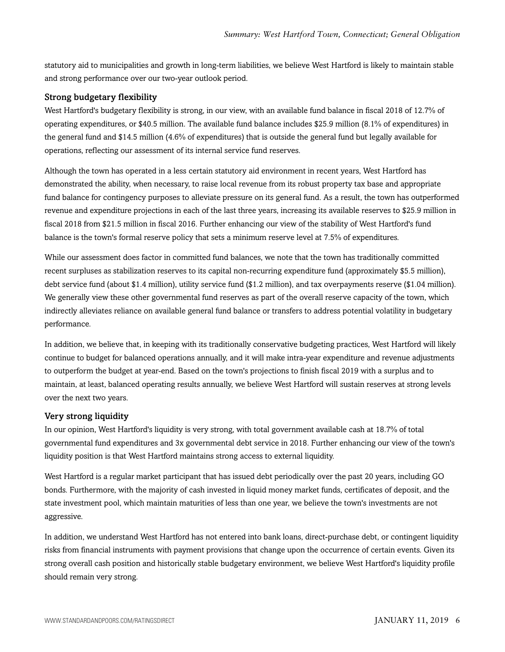statutory aid to municipalities and growth in long-term liabilities, we believe West Hartford is likely to maintain stable and strong performance over our two-year outlook period.

#### Strong budgetary flexibility

West Hartford's budgetary flexibility is strong, in our view, with an available fund balance in fiscal 2018 of 12.7% of operating expenditures, or \$40.5 million. The available fund balance includes \$25.9 million (8.1% of expenditures) in the general fund and \$14.5 million (4.6% of expenditures) that is outside the general fund but legally available for operations, reflecting our assessment of its internal service fund reserves.

Although the town has operated in a less certain statutory aid environment in recent years, West Hartford has demonstrated the ability, when necessary, to raise local revenue from its robust property tax base and appropriate fund balance for contingency purposes to alleviate pressure on its general fund. As a result, the town has outperformed revenue and expenditure projections in each of the last three years, increasing its available reserves to \$25.9 million in fiscal 2018 from \$21.5 million in fiscal 2016. Further enhancing our view of the stability of West Hartford's fund balance is the town's formal reserve policy that sets a minimum reserve level at 7.5% of expenditures.

While our assessment does factor in committed fund balances, we note that the town has traditionally committed recent surpluses as stabilization reserves to its capital non-recurring expenditure fund (approximately \$5.5 million), debt service fund (about \$1.4 million), utility service fund (\$1.2 million), and tax overpayments reserve (\$1.04 million). We generally view these other governmental fund reserves as part of the overall reserve capacity of the town, which indirectly alleviates reliance on available general fund balance or transfers to address potential volatility in budgetary performance.

In addition, we believe that, in keeping with its traditionally conservative budgeting practices, West Hartford will likely continue to budget for balanced operations annually, and it will make intra-year expenditure and revenue adjustments to outperform the budget at year-end. Based on the town's projections to finish fiscal 2019 with a surplus and to maintain, at least, balanced operating results annually, we believe West Hartford will sustain reserves at strong levels over the next two years.

#### Very strong liquidity

In our opinion, West Hartford's liquidity is very strong, with total government available cash at 18.7% of total governmental fund expenditures and 3x governmental debt service in 2018. Further enhancing our view of the town's liquidity position is that West Hartford maintains strong access to external liquidity.

West Hartford is a regular market participant that has issued debt periodically over the past 20 years, including GO bonds. Furthermore, with the majority of cash invested in liquid money market funds, certificates of deposit, and the state investment pool, which maintain maturities of less than one year, we believe the town's investments are not aggressive.

In addition, we understand West Hartford has not entered into bank loans, direct-purchase debt, or contingent liquidity risks from financial instruments with payment provisions that change upon the occurrence of certain events. Given its strong overall cash position and historically stable budgetary environment, we believe West Hartford's liquidity profile should remain very strong.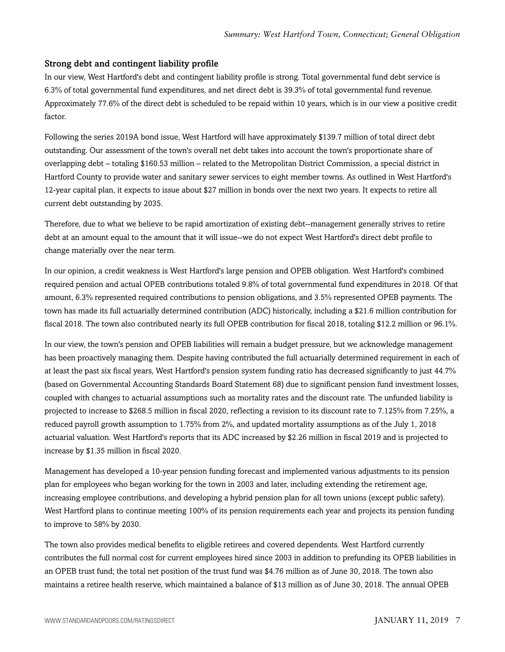#### Strong debt and contingent liability profile

In our view, West Hartford's debt and contingent liability profile is strong. Total governmental fund debt service is 6.3% of total governmental fund expenditures, and net direct debt is 39.3% of total governmental fund revenue. Approximately 77.6% of the direct debt is scheduled to be repaid within 10 years, which is in our view a positive credit factor.

Following the series 2019A bond issue, West Hartford will have approximately \$139.7 million of total direct debt outstanding. Our assessment of the town's overall net debt takes into account the town's proportionate share of overlapping debt – totaling \$160.53 million – related to the Metropolitan District Commission, a special district in Hartford County to provide water and sanitary sewer services to eight member towns. As outlined in West Hartford's 12-year capital plan, it expects to issue about \$27 million in bonds over the next two years. It expects to retire all current debt outstanding by 2035.

Therefore, due to what we believe to be rapid amortization of existing debt--management generally strives to retire debt at an amount equal to the amount that it will issue--we do not expect West Hartford's direct debt profile to change materially over the near term.

In our opinion, a credit weakness is West Hartford's large pension and OPEB obligation. West Hartford's combined required pension and actual OPEB contributions totaled 9.8% of total governmental fund expenditures in 2018. Of that amount, 6.3% represented required contributions to pension obligations, and 3.5% represented OPEB payments. The town has made its full actuarially determined contribution (ADC) historically, including a \$21.6 million contribution for fiscal 2018. The town also contributed nearly its full OPEB contribution for fiscal 2018, totaling \$12.2 million or 96.1%.

In our view, the town's pension and OPEB liabilities will remain a budget pressure, but we acknowledge management has been proactively managing them. Despite having contributed the full actuarially determined requirement in each of at least the past six fiscal years, West Hartford's pension system funding ratio has decreased significantly to just 44.7% (based on Governmental Accounting Standards Board Statement 68) due to significant pension fund investment losses, coupled with changes to actuarial assumptions such as mortality rates and the discount rate. The unfunded liability is projected to increase to \$268.5 million in fiscal 2020, reflecting a revision to its discount rate to 7.125% from 7.25%, a reduced payroll growth assumption to 1.75% from 2%, and updated mortality assumptions as of the July 1, 2018 actuarial valuation. West Hartford's reports that its ADC increased by \$2.26 million in fiscal 2019 and is projected to increase by \$1.35 million in fiscal 2020.

Management has developed a 10-year pension funding forecast and implemented various adjustments to its pension plan for employees who began working for the town in 2003 and later, including extending the retirement age, increasing employee contributions, and developing a hybrid pension plan for all town unions (except public safety). West Hartford plans to continue meeting 100% of its pension requirements each year and projects its pension funding to improve to 58% by 2030.

The town also provides medical benefits to eligible retirees and covered dependents. West Hartford currently contributes the full normal cost for current employees hired since 2003 in addition to prefunding its OPEB liabilities in an OPEB trust fund; the total net position of the trust fund was \$4.76 million as of June 30, 2018. The town also maintains a retiree health reserve, which maintained a balance of \$13 million as of June 30, 2018. The annual OPEB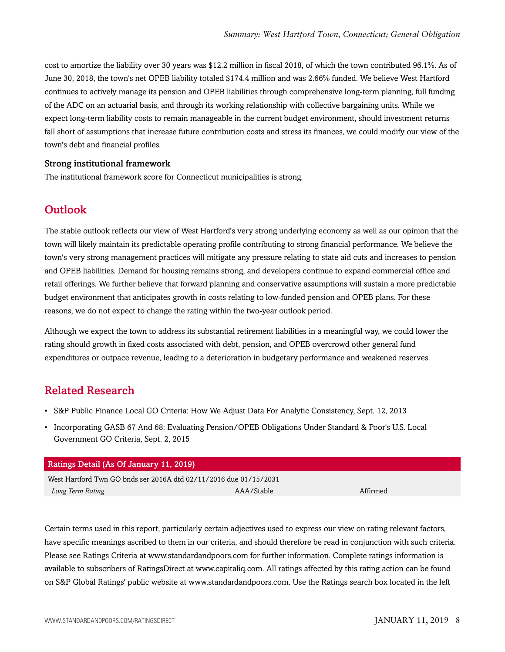cost to amortize the liability over 30 years was \$12.2 million in fiscal 2018, of which the town contributed 96.1%. As of June 30, 2018, the town's net OPEB liability totaled \$174.4 million and was 2.66% funded. We believe West Hartford continues to actively manage its pension and OPEB liabilities through comprehensive long-term planning, full funding of the ADC on an actuarial basis, and through its working relationship with collective bargaining units. While we expect long-term liability costs to remain manageable in the current budget environment, should investment returns fall short of assumptions that increase future contribution costs and stress its finances, we could modify our view of the town's debt and financial profiles.

#### Strong institutional framework

<span id="page-7-0"></span>The institutional framework score for Connecticut municipalities is strong.

### **Outlook**

The stable outlook reflects our view of West Hartford's very strong underlying economy as well as our opinion that the town will likely maintain its predictable operating profile contributing to strong financial performance. We believe the town's very strong management practices will mitigate any pressure relating to state aid cuts and increases to pension and OPEB liabilities. Demand for housing remains strong, and developers continue to expand commercial office and retail offerings. We further believe that forward planning and conservative assumptions will sustain a more predictable budget environment that anticipates growth in costs relating to low-funded pension and OPEB plans. For these reasons, we do not expect to change the rating within the two-year outlook period.

Although we expect the town to address its substantial retirement liabilities in a meaningful way, we could lower the rating should growth in fixed costs associated with debt, pension, and OPEB overcrowd other general fund expenditures or outpace revenue, leading to a deterioration in budgetary performance and weakened reserves.

# <span id="page-7-1"></span>Related Research

- S&P Public Finance Local GO Criteria: How We Adjust Data For Analytic Consistency, Sept. 12, 2013
- Incorporating GASB 67 And 68: Evaluating Pension/OPEB Obligations Under Standard & Poor's U.S. Local Government GO Criteria, Sept. 2, 2015

| <b>Ratings Detail (As Of January 11, 2019)</b>                    |            |          |  |
|-------------------------------------------------------------------|------------|----------|--|
| West Hartford Twn GO bnds ser 2016A dtd 02/11/2016 due 01/15/2031 |            |          |  |
| Long Term Rating                                                  | AAA/Stable | Affirmed |  |

Certain terms used in this report, particularly certain adjectives used to express our view on rating relevant factors, have specific meanings ascribed to them in our criteria, and should therefore be read in conjunction with such criteria. Please see Ratings Criteria at www.standardandpoors.com for further information. Complete ratings information is available to subscribers of RatingsDirect at www.capitaliq.com. All ratings affected by this rating action can be found on S&P Global Ratings' public website at www.standardandpoors.com. Use the Ratings search box located in the left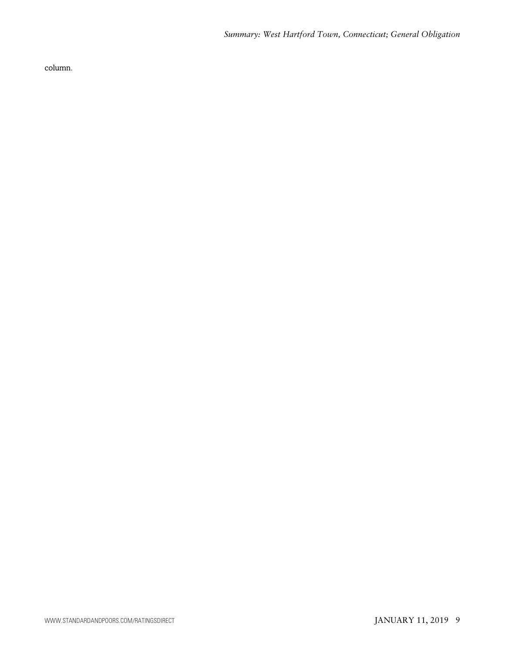column.